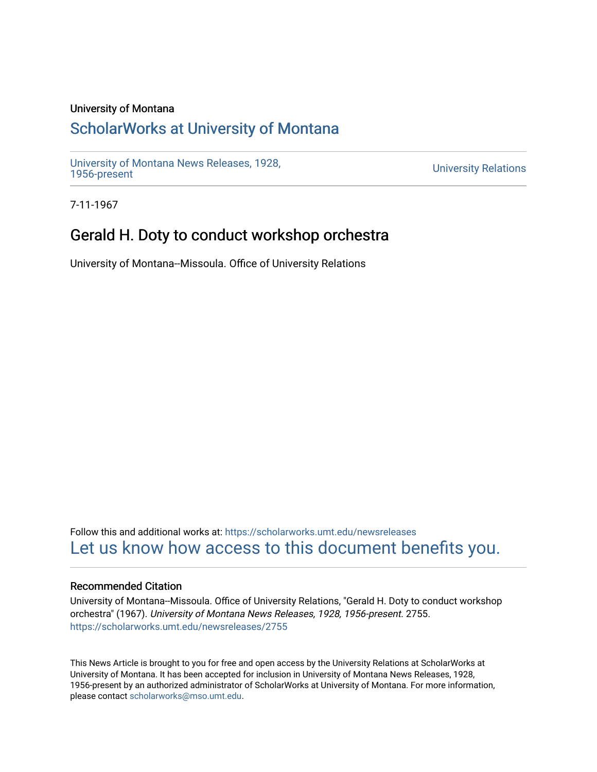### University of Montana

# [ScholarWorks at University of Montana](https://scholarworks.umt.edu/)

[University of Montana News Releases, 1928,](https://scholarworks.umt.edu/newsreleases) 

**University Relations** 

7-11-1967

## Gerald H. Doty to conduct workshop orchestra

University of Montana--Missoula. Office of University Relations

Follow this and additional works at: [https://scholarworks.umt.edu/newsreleases](https://scholarworks.umt.edu/newsreleases?utm_source=scholarworks.umt.edu%2Fnewsreleases%2F2755&utm_medium=PDF&utm_campaign=PDFCoverPages) [Let us know how access to this document benefits you.](https://goo.gl/forms/s2rGfXOLzz71qgsB2) 

#### Recommended Citation

University of Montana--Missoula. Office of University Relations, "Gerald H. Doty to conduct workshop orchestra" (1967). University of Montana News Releases, 1928, 1956-present. 2755. [https://scholarworks.umt.edu/newsreleases/2755](https://scholarworks.umt.edu/newsreleases/2755?utm_source=scholarworks.umt.edu%2Fnewsreleases%2F2755&utm_medium=PDF&utm_campaign=PDFCoverPages) 

This News Article is brought to you for free and open access by the University Relations at ScholarWorks at University of Montana. It has been accepted for inclusion in University of Montana News Releases, 1928, 1956-present by an authorized administrator of ScholarWorks at University of Montana. For more information, please contact [scholarworks@mso.umt.edu.](mailto:scholarworks@mso.umt.edu)